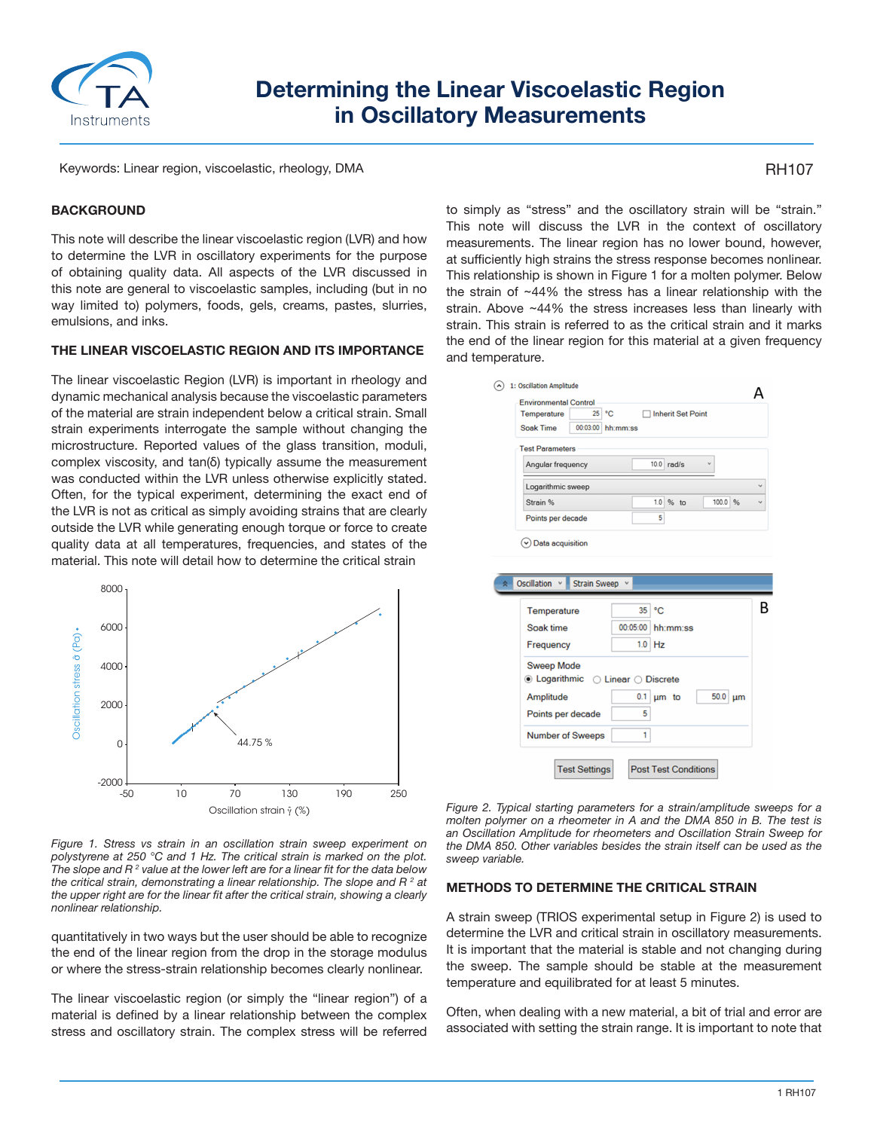

# **Determining the Linear Viscoelastic Region in Oscillatory Measurements**

Keywords: Linear region, viscoelastic, rheology, DMA

## RH107

### **BACKGROUND**

This note will describe the linear viscoelastic region (LVR) and how to determine the LVR in oscillatory experiments for the purpose of obtaining quality data. All aspects of the LVR discussed in this note are general to viscoelastic samples, including (but in no way limited to) polymers, foods, gels, creams, pastes, slurries, emulsions, and inks.

#### **THE LINEAR VISCOELASTIC REGION AND ITS IMPORTANCE**

The linear viscoelastic Region (LVR) is important in rheology and dynamic mechanical analysis because the viscoelastic parameters of the material are strain independent below a critical strain. Small strain experiments interrogate the sample without changing the microstructure. Reported values of the glass transition, moduli, complex viscosity, and tan(δ) typically assume the measurement was conducted within the LVR unless otherwise explicitly stated. Often, for the typical experiment, determining the exact end of the LVR is not as critical as simply avoiding strains that are clearly outside the LVR while generating enough torque or force to create quality data at all temperatures, frequencies, and states of the material. This note will detail how to determine the critical strain



*Figure 1. Stress vs strain in an oscillation strain sweep experiment on polystyrene at 250 °C and 1 Hz. The critical strain is marked on the plot. The slope and R 2 value at the lower left are for a linear fit for the data below the critical strain, demonstrating a linear relationship. The slope and R 2 at the upper right are for the linear fit after the critical strain, showing a clearly nonlinear relationship.*

quantitatively in two ways but the user should be able to recognize the end of the linear region from the drop in the storage modulus or where the stress-strain relationship becomes clearly nonlinear.

The linear viscoelastic region (or simply the "linear region") of a material is defined by a linear relationship between the complex stress and oscillatory strain. The complex stress will be referred to simply as "stress" and the oscillatory strain will be "strain." This note will discuss the LVR in the context of oscillatory measurements. The linear region has no lower bound, however, at sufficiently high strains the stress response becomes nonlinear. This relationship is shown in Figure 1 for a molten polymer. Below the strain of ~44% the stress has a linear relationship with the strain. Above ~44% the stress increases less than linearly with strain. This strain is referred to as the critical strain and it marks the end of the linear region for this material at a given frequency and temperature.

| 1: Oscillation Amplitude                                                                      |                    |                          |         |   |
|-----------------------------------------------------------------------------------------------|--------------------|--------------------------|---------|---|
| <b>Environmental Control</b><br>25 °C<br>Temperature<br><b>Soak Time</b><br>00:03:00 hh:mm:ss |                    | <b>Inherit Set Point</b> |         |   |
| <b>Test Parameters</b>                                                                        |                    |                          |         |   |
| Angular frequency                                                                             |                    | $10.0$ rad/s             |         |   |
| Logarithmic sweep                                                                             |                    |                          |         |   |
| Strain %                                                                                      | 1.0                | $%$ to                   | 100.0 % |   |
| Points per decade                                                                             | 5                  |                          |         |   |
|                                                                                               |                    |                          |         |   |
| <b>Oscillation</b><br><b>Strain Sweep</b>                                                     |                    |                          |         |   |
| Temperature                                                                                   | $^{\circ}$ C<br>35 |                          |         | R |
| Soak time                                                                                     | 00:05:00 hh:mm:ss  |                          |         |   |
| Frequency                                                                                     | $1.0$ Hz           |                          |         |   |
| <b>Sweep Mode</b><br>$\bullet$ Logarithmic $\circ$ Linear $\circ$ Discrete                    |                    |                          |         |   |
| Amplitude                                                                                     | 0.1                | um to                    | 50.0 µm |   |
| Points per decade                                                                             | 5                  |                          |         |   |
| <b>Number of Sweeps</b>                                                                       | 1                  |                          |         |   |

*Figure 2. Typical starting parameters for a strain/amplitude sweeps for a molten polymer on a rheometer in A and the DMA 850 in B. The test is an Oscillation Amplitude for rheometers and Oscillation Strain Sweep for the DMA 850. Other variables besides the strain itself can be used as the sweep variable.*

### **METHODS TO DETERMINE THE CRITICAL STRAIN**

A strain sweep (TRIOS experimental setup in Figure 2) is used to determine the LVR and critical strain in oscillatory measurements. It is important that the material is stable and not changing during the sweep. The sample should be stable at the measurement temperature and equilibrated for at least 5 minutes.

Often, when dealing with a new material, a bit of trial and error are associated with setting the strain range. It is important to note that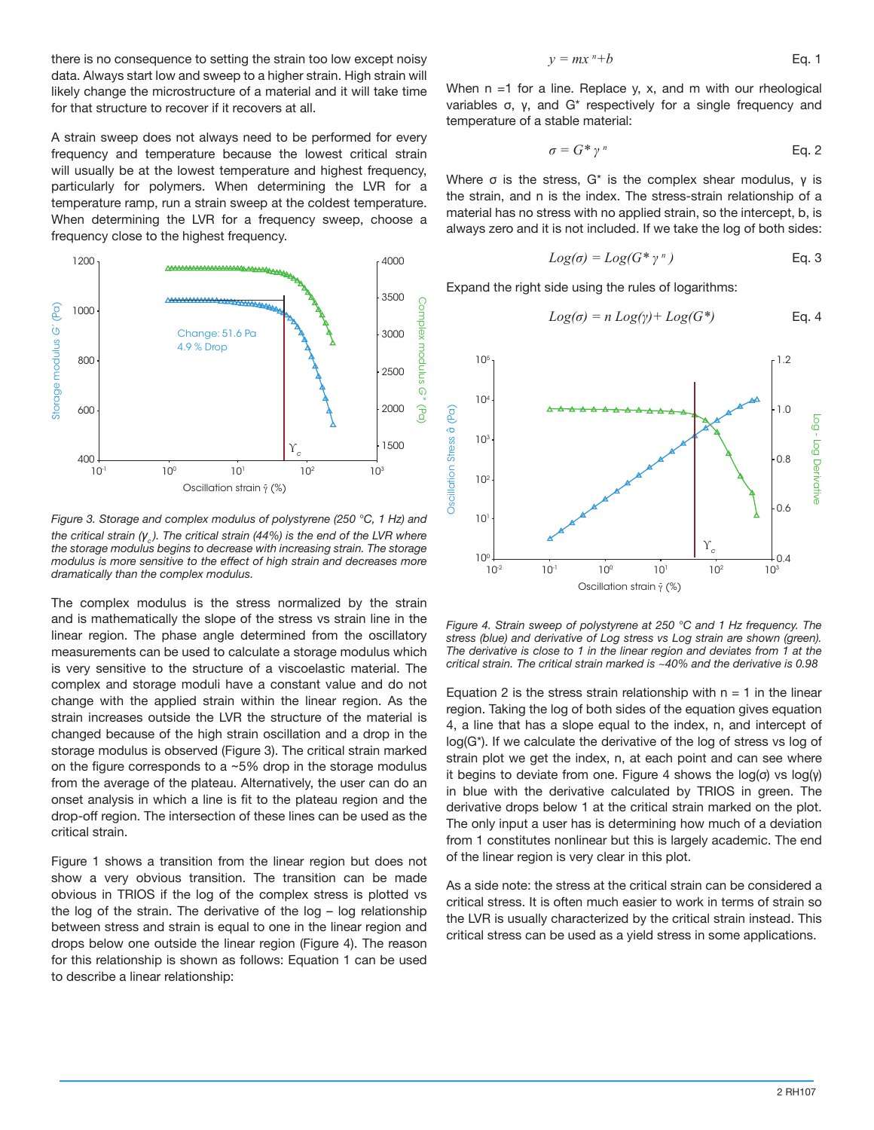there is no consequence to setting the strain too low except noisy data. Always start low and sweep to a higher strain. High strain will likely change the microstructure of a material and it will take time for that structure to recover if it recovers at all.

A strain sweep does not always need to be performed for every frequency and temperature because the lowest critical strain will usually be at the lowest temperature and highest frequency, particularly for polymers. When determining the LVR for a temperature ramp, run a strain sweep at the coldest temperature. When determining the LVR for a frequency sweep, choose a frequency close to the highest frequency.



*Figure 3. Storage and complex modulus of polystyrene (250 °C, 1 Hz) and the critical strain (γ<sub>2</sub>). The critical strain (44%) is the end of the LVR where the storage modulus begins to decrease with increasing strain. The storage modulus is more sensitive to the effect of high strain and decreases more dramatically than the complex modulus.*

The complex modulus is the stress normalized by the strain and is mathematically the slope of the stress vs strain line in the linear region. The phase angle determined from the oscillatory measurements can be used to calculate a storage modulus which is very sensitive to the structure of a viscoelastic material. The complex and storage moduli have a constant value and do not change with the applied strain within the linear region. As the strain increases outside the LVR the structure of the material is changed because of the high strain oscillation and a drop in the storage modulus is observed (Figure 3). The critical strain marked on the figure corresponds to a  $~5\%$  drop in the storage modulus from the average of the plateau. Alternatively, the user can do an onset analysis in which a line is fit to the plateau region and the drop-off region. The intersection of these lines can be used as the critical strain.

Figure 1 shows a transition from the linear region but does not show a very obvious transition. The transition can be made obvious in TRIOS if the log of the complex stress is plotted vs the log of the strain. The derivative of the log – log relationship between stress and strain is equal to one in the linear region and drops below one outside the linear region (Figure 4). The reason for this relationship is shown as follows: Equation 1 can be used to describe a linear relationship:

$$
y = mxn + b
$$
 Eq. 1

When  $n = 1$  for a line. Replace y, x, and m with our rheological variables σ, γ, and G\* respectively for a single frequency and temperature of a stable material:

$$
\sigma = G^* \gamma^n \qquad \qquad \text{Eq. 2}
$$

Where  $\sigma$  is the stress,  $G^*$  is the complex shear modulus,  $\gamma$  is the strain, and n is the index. The stress-strain relationship of a material has no stress with no applied strain, so the intercept, b, is always zero and it is not included. If we take the log of both sides:

$$
Log(\sigma) = Log(G^* \gamma^n)
$$
 Eq. 3

Expand the right side using the rules of logarithms:

$$
Log(\sigma) = n Log(\gamma) + Log(G^*)
$$
 Eq. 4



*Figure 4. Strain sweep of polystyrene at 250 °C and 1 Hz frequency. The stress (blue) and derivative of Log stress vs Log strain are shown (green). The derivative is close to 1 in the linear region and deviates from 1 at the critical strain. The critical strain marked is ~40% and the derivative is 0.98*

Equation 2 is the stress strain relationship with  $n = 1$  in the linear region. Taking the log of both sides of the equation gives equation 4, a line that has a slope equal to the index, n, and intercept of log(G\*). If we calculate the derivative of the log of stress vs log of strain plot we get the index, n, at each point and can see where it begins to deviate from one. Figure 4 shows the  $log(σ)$  vs  $log(γ)$ in blue with the derivative calculated by TRIOS in green. The derivative drops below 1 at the critical strain marked on the plot. The only input a user has is determining how much of a deviation from 1 constitutes nonlinear but this is largely academic. The end of the linear region is very clear in this plot.

As a side note: the stress at the critical strain can be considered a critical stress. It is often much easier to work in terms of strain so the LVR is usually characterized by the critical strain instead. This critical stress can be used as a yield stress in some applications.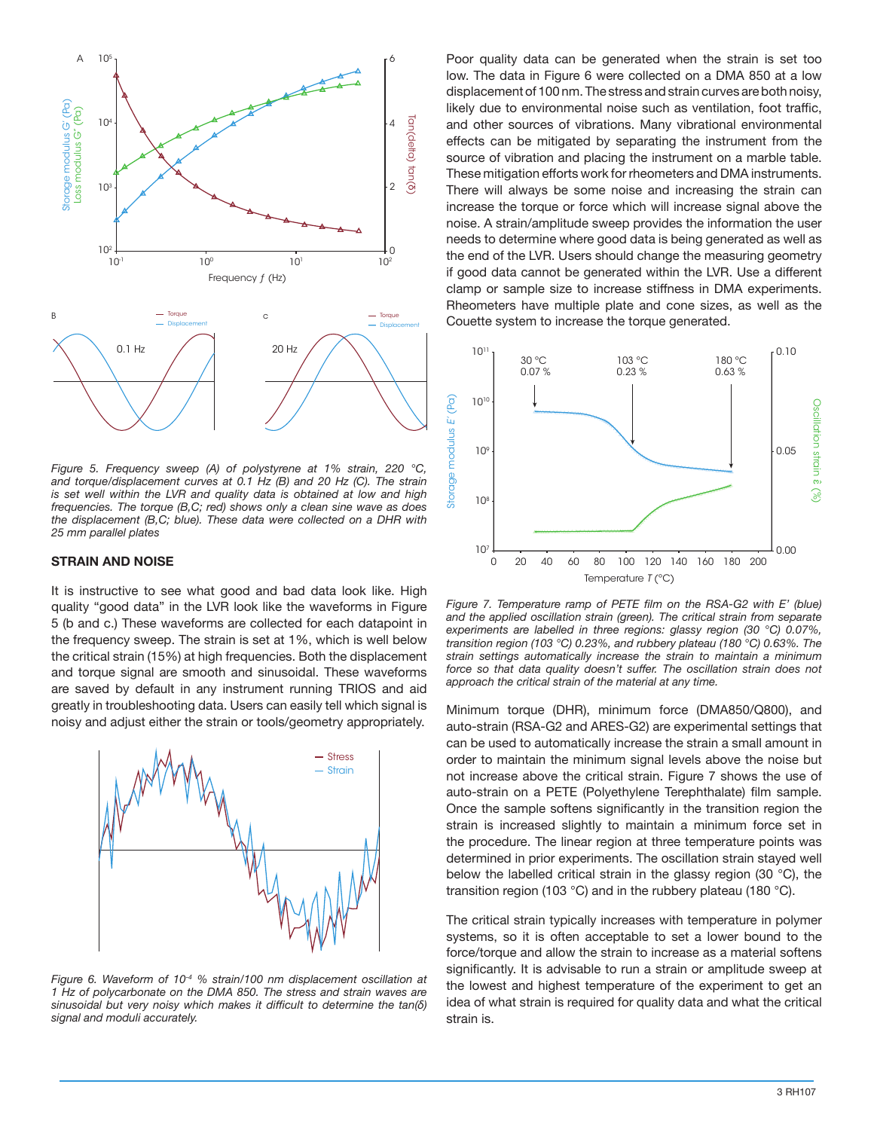

*Figure 5. Frequency sweep (A) of polystyrene at 1% strain, 220 °C, and torque/displacement curves at 0.1 Hz (B) and 20 Hz (C). The strain is set well within the LVR and quality data is obtained at low and high frequencies. The torque (B,C; red) shows only a clean sine wave as does the displacement (B,C; blue). These data were collected on a DHR with 25 mm parallel plates*

#### **STRAIN AND NOISE**

It is instructive to see what good and bad data look like. High quality "good data" in the LVR look like the waveforms in Figure 5 (b and c.) These waveforms are collected for each datapoint in the frequency sweep. The strain is set at 1%, which is well below the critical strain (15%) at high frequencies. Both the displacement and torque signal are smooth and sinusoidal. These waveforms are saved by default in any instrument running TRIOS and aid greatly in troubleshooting data. Users can easily tell which signal is noisy and adjust either the strain or tools/geometry appropriately.



*Figure 6. Waveform of 10-4 % strain/100 nm displacement oscillation at 1 Hz of polycarbonate on the DMA 850. The stress and strain waves are sinusoidal but very noisy which makes it difficult to determine the tan(δ) signal and moduli accurately.*

Poor quality data can be generated when the strain is set too low. The data in Figure 6 were collected on a DMA 850 at a low displacement of 100 nm. The stress and strain curves are both noisy, likely due to environmental noise such as ventilation, foot traffic, and other sources of vibrations. Many vibrational environmental effects can be mitigated by separating the instrument from the source of vibration and placing the instrument on a marble table. These mitigation efforts work for rheometers and DMA instruments. There will always be some noise and increasing the strain can increase the torque or force which will increase signal above the noise. A strain/amplitude sweep provides the information the user needs to determine where good data is being generated as well as the end of the LVR. Users should change the measuring geometry if good data cannot be generated within the LVR. Use a different clamp or sample size to increase stiffness in DMA experiments. Rheometers have multiple plate and cone sizes, as well as the Couette system to increase the torque generated.



*Figure 7. Temperature ramp of PETE film on the RSA-G2 with E' (blue)*  and the applied oscillation strain (green). The critical strain from separate *experiments are labelled in three regions: glassy region (30 °C) 0.07%, transition region (103 °C) 0.23%, and rubbery plateau (180 °C) 0.63%. The strain settings automatically increase the strain to maintain a minimum*  force so that data quality doesn't suffer. The oscillation strain does not *approach the critical strain of the material at any time.*

Minimum torque (DHR), minimum force (DMA850/Q800), and auto-strain (RSA-G2 and ARES-G2) are experimental settings that can be used to automatically increase the strain a small amount in order to maintain the minimum signal levels above the noise but not increase above the critical strain. Figure 7 shows the use of auto-strain on a PETE (Polyethylene Terephthalate) film sample. Once the sample softens significantly in the transition region the strain is increased slightly to maintain a minimum force set in the procedure. The linear region at three temperature points was determined in prior experiments. The oscillation strain stayed well below the labelled critical strain in the glassy region (30 °C), the transition region (103 °C) and in the rubbery plateau (180 °C).

The critical strain typically increases with temperature in polymer systems, so it is often acceptable to set a lower bound to the force/torque and allow the strain to increase as a material softens significantly. It is advisable to run a strain or amplitude sweep at the lowest and highest temperature of the experiment to get an idea of what strain is required for quality data and what the critical strain is.